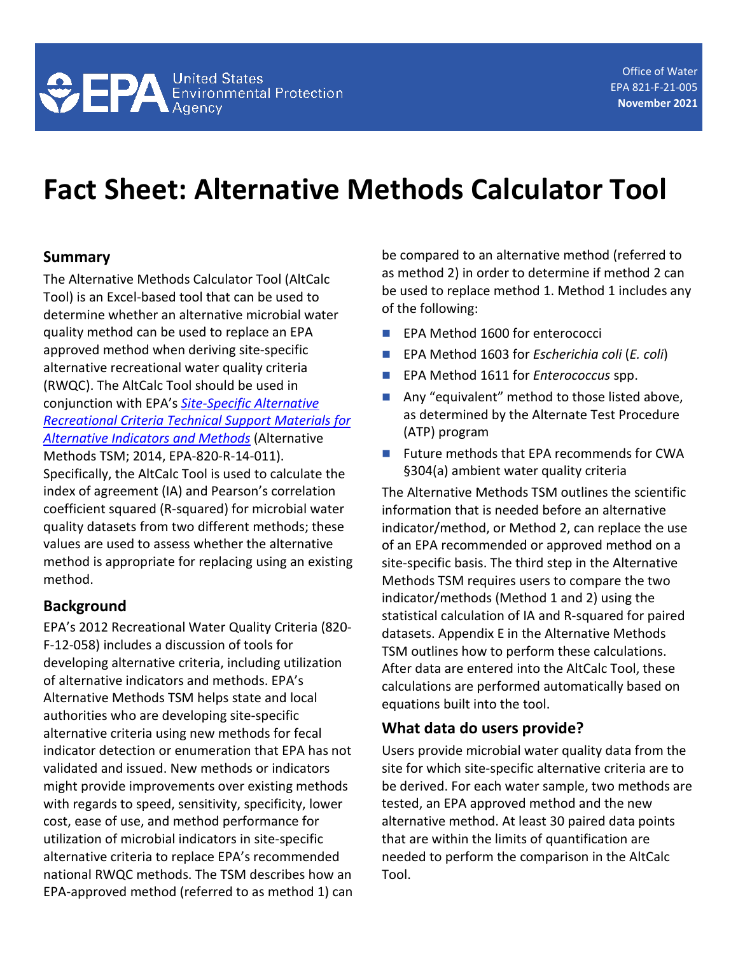# **Fact Sheet: Alternative Methods Calculator Tool**

#### **Summary**

The Alternative Methods Calculator Tool (AltCalc Tool) is an Excel-based tool that can be used to determine whether an alternative microbial water quality method can be used to replace an EPA approved method when deriving site-specific alternative recreational water quality criteria (RWQC). The AltCalc Tool should be used in conjunction with EPA's *[Site-Specific Alternative](https://www.epa.gov/sites/default/files/2015-11/documents/sitespecific-alternative-recreational-indicators-methods.pdf)  [Recreational Criteria Technical Support Materials](https://www.epa.gov/sites/default/files/2015-11/documents/sitespecific-alternative-recreational-indicators-methods.pdf) for [Alternative Indicators and Methods](https://www.epa.gov/sites/default/files/2015-11/documents/sitespecific-alternative-recreational-indicators-methods.pdf)* (Alternative Methods TSM; 2014, EPA-820-R-14-011). Specifically, the AltCalc Tool is used to calculate the index of agreement (IA) and Pearson's correlation coefficient squared (R-squared) for microbial water quality datasets from two different methods; these values are used to assess whether the alternative method is appropriate for replacing using an existing method.

## **Background**

EPA's 2012 Recreational Water Quality Criteria (820- F-12-058) includes a discussion of tools for developing alternative criteria, including utilization of alternative indicators and methods. EPA's Alternative Methods TSM helps state and local authorities who are developing site-specific alternative criteria using new methods for fecal indicator detection or enumeration that EPA has not validated and issued. New methods or indicators might provide improvements over existing methods with regards to speed, sensitivity, specificity, lower cost, ease of use, and method performance for utilization of microbial indicators in site-specific alternative criteria to replace EPA's recommended national RWQC methods. The TSM describes how an EPA-approved method (referred to as method 1) can be compared to an alternative method (referred to as method 2) in order to determine if method 2 can be used to replace method 1. Method 1 includes any of the following:

- EPA Method 1600 for enterococci
- **EPA Method 1603 for** *Escherichia coli* (*E. coli*)
- **EPA Method 1611 for** *Enterococcus* spp.
- Any "equivalent" method to those listed above, as determined by the Alternate Test Procedure (ATP) program
- $\blacksquare$  Future methods that EPA recommends for CWA §304(a) ambient water quality criteria

The Alternative Methods TSM outlines the scientific information that is needed before an alternative indicator/method, or Method 2, can replace the use of an EPA recommended or approved method on a site-specific basis. The third step in the Alternative Methods TSM requires users to compare the two indicator/methods (Method 1 and 2) using the statistical calculation of IA and R-squared for paired datasets. Appendix E in the Alternative Methods TSM outlines how to perform these calculations. After data are entered into the AltCalc Tool, these calculations are performed automatically based on equations built into the tool.

## **What data do users provide?**

Users provide microbial water quality data from the site for which site-specific alternative criteria are to be derived. For each water sample, two methods are tested, an EPA approved method and the new alternative method. At least 30 paired data points that are within the limits of quantification are needed to perform the comparison in the AltCalc Tool.